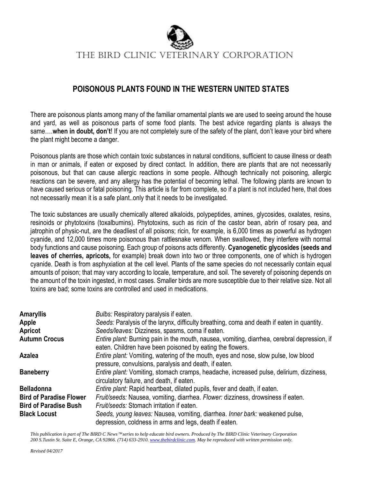

## **POISONOUS PLANTS FOUND IN THE WESTERN UNITED STATES**

There are poisonous plants among many of the familiar ornamental plants we are used to seeing around the house and yard, as well as poisonous parts of some food plants. The best advice regarding plants is always the same….**when in doubt, don't**! If you are not completely sure of the safety of the plant, don't leave your bird where the plant might become a danger.

Poisonous plants are those which contain toxic substances in natural conditions, sufficient to cause illness or death in man or animals, if eaten or exposed by direct contact. In addition, there are plants that are not necessarily poisonous, but that can cause allergic reactions in some people. Although technically not poisoning, allergic reactions can be severe, and any allergy has the potential of becoming lethal. The following plants are known to have caused serious or fatal poisoning. This article is far from complete, so if a plant is not included here, that does not necessarily mean it is a safe plant..only that it needs to be investigated.

The toxic substances are usually chemically altered alkaloids, polypeptides, amines, glycosides, oxalates, resins, resinoids or phytotoxins (toxalbumins). Phytotoxins, such as ricin of the castor bean, abrin of rosary pea, and jatrophin of physic-nut, are the deadliest of all poisons; ricin, for example, is 6,000 times as powerful as hydrogen cyanide, and 12,000 times more poisonous than rattlesnake venom. When swallowed, they interfere with normal body functions and cause poisoning. Each group of poisons acts differently. **Cyanogenetic glycosides (seeds and leaves of cherries, apricots,** for example) break down into two or three components, one of which is hydrogen cyanide. Death is from asphyxiation at the cell level. Plants of the same species do not necessarily contain equal amounts of poison; that may vary according to locale, temperature, and soil. The severety of poisoning depends on the amount of the toxin ingested, in most cases. Smaller birds are more susceptible due to their relative size. Not all toxins are bad; some toxins are controlled and used in medications.

| <b>Amaryllis</b>               | <i>Bulbs:</i> Respiratory paralysis if eaten.                                                                                                                    |
|--------------------------------|------------------------------------------------------------------------------------------------------------------------------------------------------------------|
| Apple                          | Seeds: Paralysis of the larynx, difficulty breathing, coma and death if eaten in quantity.                                                                       |
| Apricot                        | Seeds/leaves: Dizziness, spasms, coma if eaten.                                                                                                                  |
| <b>Autumn Crocus</b>           | <i>Entire plant:</i> Burning pain in the mouth, nausea, vomiting, diarrhea, cerebral depression, if<br>eaten. Children have been poisoned by eating the flowers. |
| Azalea                         | <i>Entire plant:</i> Vomiting, watering of the mouth, eyes and nose, slow pulse, low blood<br>pressure, convulsions, paralysis and death, if eaten.              |
| <b>Baneberry</b>               | Entire plant: Vomiting, stomach cramps, headache, increased pulse, delirium, dizziness,<br>circulatory failure, and death, if eaten.                             |
| <b>Belladonna</b>              | Entire plant: Rapid heartbeat, dilated pupils, fever and death, if eaten.                                                                                        |
| <b>Bird of Paradise Flower</b> | Fruit/seeds: Nausea, vomiting, diarrhea. Flower: dizziness, drowsiness if eaten.                                                                                 |
| <b>Bird of Paradise Bush</b>   | Fruit/seeds: Stomach irritation if eaten.                                                                                                                        |
| <b>Black Locust</b>            | Seeds, young leaves: Nausea, vomiting, diarrhea. Inner bark: weakened pulse,<br>depression, coldness in arms and legs, death if eaten.                           |

*This publication is part of The BIRD C News<sup>™</sup>series to help educate bird owners. Produced by The BIRD Clinic Veterinary Corporation 200 S.Tustin St. Suite E, Orange, CA 92866. (714) 633-2910[. www.thebirdclinic.com.](http://www.thebirdclinic.com/) May be reproduced with written permission only.*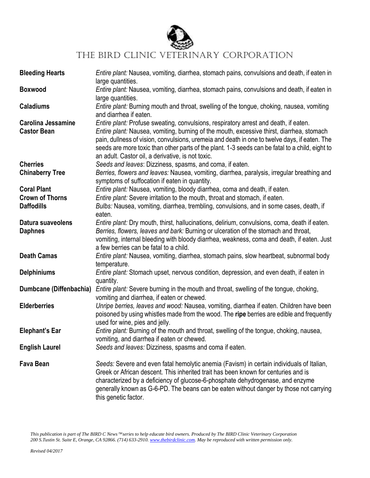

| <b>Bleeding Hearts</b>                          | Entire plant: Nausea, vomiting, diarrhea, stomach pains, convulsions and death, if eaten in<br>large quantities.                                                                                                                                                                                                                                                                                                                           |
|-------------------------------------------------|--------------------------------------------------------------------------------------------------------------------------------------------------------------------------------------------------------------------------------------------------------------------------------------------------------------------------------------------------------------------------------------------------------------------------------------------|
| <b>Boxwood</b>                                  | Entire plant: Nausea, vomiting, diarrhea, stomach pains, convulsions and death, if eaten in<br>large quantities.                                                                                                                                                                                                                                                                                                                           |
| <b>Caladiums</b>                                | Entire plant: Burning mouth and throat, swelling of the tongue, choking, nausea, vomiting<br>and diarrhea if eaten.                                                                                                                                                                                                                                                                                                                        |
| <b>Carolina Jessamine</b><br><b>Castor Bean</b> | Entire plant: Profuse sweating, convulsions, respiratory arrest and death, if eaten.<br>Entire plant: Nausea, vomiting, burning of the mouth, excessive thirst, diarrhea, stomach<br>pain, dullness of vision, convulsions, uremeia and death in one to twelve days, if eaten. The<br>seeds are more toxic than other parts of the plant. 1-3 seeds can be fatal to a child, eight to<br>an adult. Castor oil, a derivative, is not toxic. |
| <b>Cherries</b>                                 | Seeds and leaves: Dizziness, spasms, and coma, if eaten.                                                                                                                                                                                                                                                                                                                                                                                   |
| <b>Chinaberry Tree</b>                          | Berries, flowers and leaves: Nausea, vomiting, diarrhea, paralysis, irregular breathing and<br>symptoms of suffocation if eaten in quantity.                                                                                                                                                                                                                                                                                               |
| <b>Coral Plant</b>                              | Entire plant: Nausea, vomiting, bloody diarrhea, coma and death, if eaten.                                                                                                                                                                                                                                                                                                                                                                 |
| <b>Crown of Thorns</b>                          | Entire plant: Severe irritation to the mouth, throat and stomach, if eaten.                                                                                                                                                                                                                                                                                                                                                                |
| <b>Daffodills</b>                               | Bulbs: Nausea, vomiting, diarrhea, trembling, convulsions, and in some cases, death, if                                                                                                                                                                                                                                                                                                                                                    |
|                                                 | eaten.                                                                                                                                                                                                                                                                                                                                                                                                                                     |
| Datura suaveolens                               | Entire plant: Dry mouth, thirst, hallucinations, delirium, convulsions, coma, death if eaten.                                                                                                                                                                                                                                                                                                                                              |
| <b>Daphnes</b>                                  | Berries, flowers, leaves and bark: Burning or ulceration of the stomach and throat,                                                                                                                                                                                                                                                                                                                                                        |
|                                                 | vomiting, internal bleeding with bloody diarrhea, weakness, coma and death, if eaten. Just<br>a few berries can be fatal to a child.                                                                                                                                                                                                                                                                                                       |
| <b>Death Camas</b>                              | Entire plant: Nausea, vomiting, diarrhea, stomach pains, slow heartbeat, subnormal body                                                                                                                                                                                                                                                                                                                                                    |
|                                                 | temperature.                                                                                                                                                                                                                                                                                                                                                                                                                               |
| <b>Delphiniums</b>                              | Entire plant: Stomach upset, nervous condition, depression, and even death, if eaten in                                                                                                                                                                                                                                                                                                                                                    |
|                                                 | quantity.                                                                                                                                                                                                                                                                                                                                                                                                                                  |
| Dumbcane (Diffenbachia)                         | Entire plant: Severe burning in the mouth and throat, swelling of the tongue, choking,                                                                                                                                                                                                                                                                                                                                                     |
|                                                 |                                                                                                                                                                                                                                                                                                                                                                                                                                            |
|                                                 | vomiting and diarrhea, if eaten or chewed.                                                                                                                                                                                                                                                                                                                                                                                                 |
| <b>Elderberries</b>                             | Unripe berries, leaves and wood: Nausea, vomiting, diarrhea if eaten. Children have been                                                                                                                                                                                                                                                                                                                                                   |
|                                                 | poisoned by using whistles made from the wood. The ripe berries are edible and frequently                                                                                                                                                                                                                                                                                                                                                  |
|                                                 | used for wine, pies and jelly.                                                                                                                                                                                                                                                                                                                                                                                                             |
| <b>Elephant's Ear</b>                           | Entire plant: Burning of the mouth and throat, swelling of the tongue, choking, nausea,                                                                                                                                                                                                                                                                                                                                                    |
|                                                 | vomiting, and diarrhea if eaten or chewed.                                                                                                                                                                                                                                                                                                                                                                                                 |
| <b>English Laurel</b>                           | Seeds and leaves: Dizziness, spasms and coma if eaten.                                                                                                                                                                                                                                                                                                                                                                                     |
|                                                 |                                                                                                                                                                                                                                                                                                                                                                                                                                            |
| <b>Fava Bean</b>                                | Seeds: Severe and even fatal hemolytic anemia (Favism) in certain individuals of Italian,                                                                                                                                                                                                                                                                                                                                                  |
|                                                 | Greek or African descent. This inherited trait has been known for centuries and is                                                                                                                                                                                                                                                                                                                                                         |
|                                                 | characterized by a deficiency of glucose-6-phosphate dehydrogenase, and enzyme                                                                                                                                                                                                                                                                                                                                                             |
|                                                 | generally known as G-6-PD. The beans can be eaten without danger by those not carrying                                                                                                                                                                                                                                                                                                                                                     |
|                                                 | this genetic factor.                                                                                                                                                                                                                                                                                                                                                                                                                       |

*This publication is part of The BIRD C News* ™series to help educate bird owners. Produced by The BIRD Clinic Veterinary Corporation *200 S.Tustin St. Suite E, Orange, CA 92866. (714) 633-2910[. www.thebirdclinic.com.](http://www.thebirdclinic.com/) May be reproduced with written permission only.*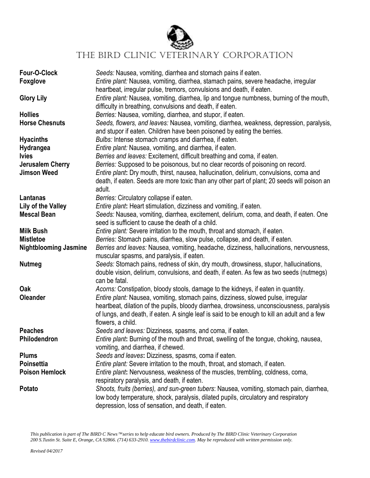

| Four-O-Clock<br><b>Foxglove</b> | Seeds: Nausea, vomiting, diarrhea and stomach pains if eaten.<br>Entire plant: Nausea, vomiting, diarrhea, stamach pains, severe headache, irregular                                               |
|---------------------------------|----------------------------------------------------------------------------------------------------------------------------------------------------------------------------------------------------|
|                                 | heartbeat, irregular pulse, tremors, convulsions and death, if eaten.                                                                                                                              |
| <b>Glory Lily</b>               | <i>Entire plant:</i> Nausea, vomiting, diarrhea, lip and tongue numbness, burning of the mouth,<br>difficulty in breathing, convulsions and death, if eaten.                                       |
| <b>Hollies</b>                  | Berries: Nausea, vomiting, diarrhea, and stupor, if eaten.                                                                                                                                         |
| <b>Horse Chesnuts</b>           | Seeds, flowers, and leaves: Nausea, vomiting, diarrhea, weakness, depression, paralysis,<br>and stupor if eaten. Children have been poisoned by eating the berries.                                |
| <b>Hyacinths</b>                | Bulbs: Intense stomach cramps and diarrhea, if eaten.                                                                                                                                              |
| <b>Hydrangea</b>                | Entire plant: Nausea, vomiting, and diarrhea, if eaten.                                                                                                                                            |
| <b>Ivies</b>                    | Berries and leaves: Excitement, difficult breathing and coma, if eaten.                                                                                                                            |
| <b>Jerusalem Cherry</b>         | Berries: Supposed to be poisonous, but no clear records of poisoning on record.                                                                                                                    |
| <b>Jimson Weed</b>              | Entire plant: Dry mouth, thirst, nausea, hallucination, delirium, convulsions, coma and<br>death, if eaten. Seeds are more toxic than any other part of plant; 20 seeds will poison an<br>adult.   |
| Lantanas                        | Berries: Circulatory collapse if eaten.                                                                                                                                                            |
| Lily of the Valley              | Entire plant: Heart stimulation, dizziness and vomiting, if eaten.                                                                                                                                 |
| <b>Mescal Bean</b>              | Seeds: Nausea, vomiting, diarrhea, excitement, delirium, coma, and death, if eaten. One<br>seed is sufficient to cause the death of a child.                                                       |
| <b>Milk Bush</b>                | Entire plant: Severe irritation to the mouth, throat and stomach, if eaten.                                                                                                                        |
| <b>Mistletoe</b>                | Berries: Stomach pains, diarrhea, slow pulse, collapse, and death, if eaten.                                                                                                                       |
| <b>Nightblooming Jasmine</b>    | Berries and leaves: Nausea, vomiting, headache, dizziness, hallucinations, nervousness,<br>muscular spasms, and paralysis, if eaten.                                                               |
| <b>Nutmeg</b>                   | Seeds: Stomach pains, redness of skin, dry mouth, drowsiness, stupor, hallucinations,<br>double vision, delirium, convulsions, and death, if eaten. As few as two seeds (nutmegs)<br>can be fatal. |
| Oak                             | Acorns: Constipation, bloody stools, damage to the kidneys, if eaten in quantity.                                                                                                                  |
| <b>Oleander</b>                 | <i>Entire plant:</i> Nausea, vomiting, stomach pains, dizziness, slowed pulse, irregular                                                                                                           |
|                                 | heartbeat, dilation of the pupils, bloody diarrhea, drowsiness, unconsciousness, paralysis                                                                                                         |
|                                 | of lungs, and death, if eaten. A single leaf is said to be enough to kill an adult and a few                                                                                                       |
|                                 | flowers, a child.                                                                                                                                                                                  |
| <b>Peaches</b>                  | Seeds and leaves: Dizziness, spasms, and coma, if eaten.                                                                                                                                           |
| Philodendron                    | Entire plant: Burning of the mouth and throat, swelling of the tongue, choking, nausea,                                                                                                            |
|                                 | vomiting, and diarrhea, if chewed.                                                                                                                                                                 |
| <b>Plums</b>                    | Seeds and leaves: Dizziness, spasms, coma if eaten.                                                                                                                                                |
| <b>Poinsettia</b>               | Entire plant: Severe irritation to the mouth, throat, and stomach, if eaten.                                                                                                                       |
| <b>Poison Hemlock</b>           | Entire plant: Nervousness, weakness of the muscles, trembling, coldness, coma,                                                                                                                     |
|                                 | respiratory paralysis, and death, if eaten.                                                                                                                                                        |
| Potato                          | Shoots, fruits (berries), and sun-green tubers: Nausea, vomiting, stomach pain, diarrhea,                                                                                                          |
|                                 | low body temperature, shock, paralysis, dilated pupils, circulatory and respiratory                                                                                                                |
|                                 | depression, loss of sensation, and death, if eaten.                                                                                                                                                |

*This publication is part of The BIRD C News* ™series to help educate bird owners. Produced by The BIRD Clinic Veterinary Corporation *200 S.Tustin St. Suite E, Orange, CA 92866. (714) 633-2910[. www.thebirdclinic.com.](http://www.thebirdclinic.com/) May be reproduced with written permission only.*